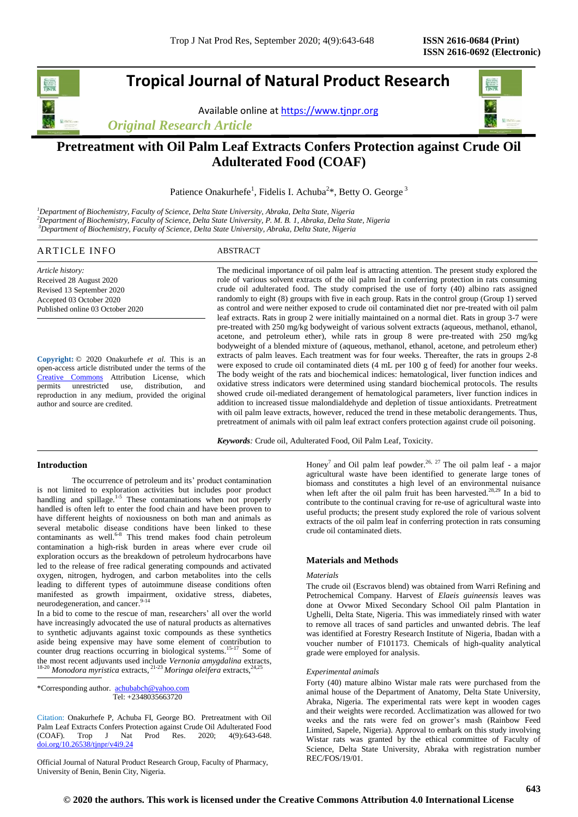# **Tropical Journal of Natural Product Research**

Available online a[t https://www.tjnpr.org](https://www.tjnpr.org/)

*Original Research Article*



# **Pretreatment with Oil Palm Leaf Extracts Confers Protection against Crude Oil Adulterated Food (COAF)**

Patience Onakurhefe<sup>1</sup>, Fidelis I. Achuba<sup>2\*</sup>, Betty O. George<sup>3</sup>

*<sup>1</sup>Department of Biochemistry, Faculty of Science, Delta State University, Abraka, Delta State, Nigeria <sup>2</sup>Department of Biochemistry, Faculty of Science, Delta State University, P. M. B. 1, Abraka, Delta State, Nigeria <sup>3</sup>Department of Biochemistry, Faculty of Science, Delta State University, Abraka, Delta State, Nigeria*

# ARTICLE INFO ABSTRACT

*Article history:* Received 28 August 2020 Revised 13 September 2020 Accepted 03 October 2020 Published online 03 October 2020

**Copyright:** © 2020 Onakurhefe *et al*. This is an open-access article distributed under the terms of the [Creative Commons](https://creativecommons.org/licenses/by/4.0/) Attribution License, which<br>permits unrestricted use, distribution, and permits unrestricted use, distribution, and reproduction in any medium, provided the original author and source are credited.

The medicinal importance of oil palm leaf is attracting attention. The present study explored the role of various solvent extracts of the oil palm leaf in conferring protection in rats consuming crude oil adulterated food. The study comprised the use of forty (40) albino rats assigned randomly to eight (8) groups with five in each group. Rats in the control group (Group 1) served as control and were neither exposed to crude oil contaminated diet nor pre-treated with oil palm leaf extracts. Rats in group 2 were initially maintained on a normal diet. Rats in group 3-7 were pre-treated with 250 mg/kg bodyweight of various solvent extracts (aqueous, methanol, ethanol, acetone, and petroleum ether), while rats in group 8 were pre-treated with 250 mg/kg bodyweight of a blended mixture of (aqueous, methanol, ethanol, acetone, and petroleum ether) extracts of palm leaves. Each treatment was for four weeks. Thereafter, the rats in groups 2-8 were exposed to crude oil contaminated diets (4 mL per 100 g of feed) for another four weeks. The body weight of the rats and biochemical indices: hematological, liver function indices and oxidative stress indicators were determined using standard biochemical protocols. The results showed crude oil-mediated derangement of hematological parameters, liver function indices in addition to increased tissue malondialdehyde and depletion of tissue antioxidants. Pretreatment with oil palm leave extracts, however, reduced the trend in these metabolic derangements. Thus, pretreatment of animals with oil palm leaf extract confers protection against crude oil poisoning.

*Keywords:* Crude oil, Adulterated Food, Oil Palm Leaf, Toxicity.

# **Introduction**

The occurrence of petroleum and its' product contamination is not limited to exploration activities but includes poor product handling and spillage.<sup>1-5</sup> These contaminations when not properly handled is often left to enter the food chain and have been proven to have different heights of noxiousness on both man and animals as several metabolic disease conditions have been linked to these contaminants as well.<sup>6-8</sup> This trend makes food chain petroleum contamination a high-risk burden in areas where ever crude oil exploration occurs as the breakdown of petroleum hydrocarbons have led to the release of free radical generating compounds and activated oxygen, nitrogen, hydrogen, and carbon metabolites into the cells leading to different types of autoimmune disease conditions often manifested as growth impairment, oxidative stress, diabetes, neurodegeneration, and cancer. 9-14

In a bid to come to the rescue of man, researchers' all over the world have increasingly advocated the use of natural products as alternatives to synthetic adjuvants against toxic compounds as these synthetics aside being expensive may have some element of contribution to counter drug reactions occurring in biological systems.<sup>15-17</sup> Some of the most recent adjuvants used include *Vernonia amygdalina* extracts, <sup>18-20</sup> Monodora myristica extracts, <sup>21-23</sup> Moringa oleifera extracts, <sup>24,25</sup>

\*Corresponding author. [achubabch@yahoo.com](mailto:achubabch@yahoo.com) Tel: +2348035663720

Citation: Onakurhefe P, Achuba FI, George BO. Pretreatment with Oil Palm Leaf Extracts Confers Protection against Crude Oil Adulterated Food (COAF). Trop J Nat Prod Res. 2020; 4(9):643-648. [doi.org/10.26538/tjnpr/v4i9.2](http://www.doi.org/10.26538/tjnpr/v1i4.5)4

Official Journal of Natural Product Research Group, Faculty of Pharmacy, University of Benin, Benin City, Nigeria.

Honey<sup>7</sup> and Oil palm leaf powder.<sup>26, 27</sup> The oil palm leaf - a major agricultural waste have been identified to generate large tones of biomass and constitutes a high level of an environmental nuisance when left after the oil palm fruit has been harvested.<sup>28,29</sup> In a bid to contribute to the continual craving for re-use of agricultural waste into useful products; the present study explored the role of various solvent extracts of the oil palm leaf in conferring protection in rats consuming crude oil contaminated diets.

# **Materials and Methods**

#### *Materials*

The crude oil (Escravos blend) was obtained from Warri Refining and Petrochemical Company. Harvest of *Elaeis guineensis* leaves was done at Ovwor Mixed Secondary School Oil palm Plantation in Ughelli, Delta State, Nigeria. This was immediately rinsed with water to remove all traces of sand particles and unwanted debris. The leaf was identified at Forestry Research Institute of Nigeria, Ibadan with a voucher number of F101173. Chemicals of high-quality analytical grade were employed for analysis.

### *Experimental animals*

Forty (40) mature albino Wistar male rats were purchased from the animal house of the Department of Anatomy, Delta State University, Abraka, Nigeria. The experimental rats were kept in wooden cages and their weights were recorded. Acclimatization was allowed for two weeks and the rats were fed on grower's mash (Rainbow Feed Limited, Sapele, Nigeria). Approval to embark on this study involving Wistar rats was granted by the ethical committee of Faculty of Science, Delta State University, Abraka with registration number REC/FOS/19/01.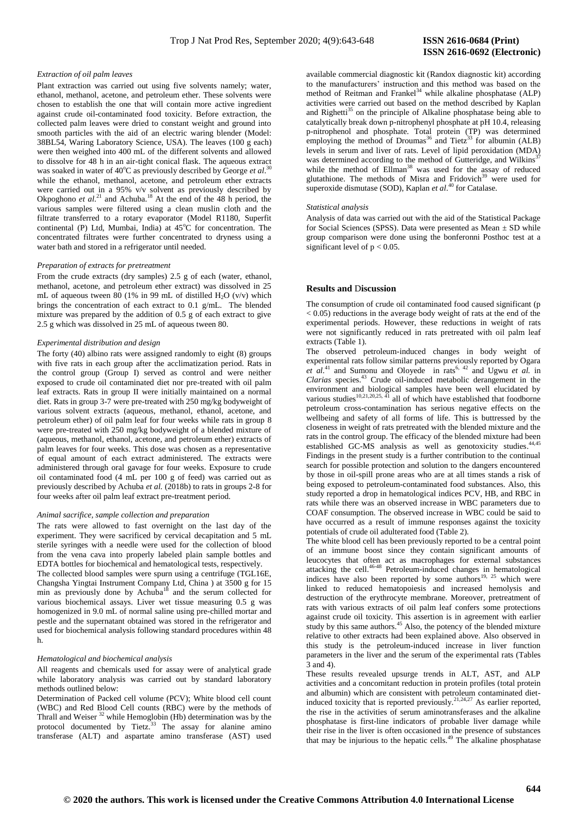#### *Extraction of oil palm leaves*

Plant extraction was carried out using five solvents namely; water, ethanol, methanol, acetone, and petroleum ether. These solvents were chosen to establish the one that will contain more active ingredient against crude oil-contaminated food toxicity. Before extraction, the collected palm leaves were dried to constant weight and ground into smooth particles with the aid of an electric waring blender (Model: 38BL54, Waring Laboratory Science, USA). The leaves (100 g each) were then weighed into 400 mL of the different solvents and allowed to dissolve for 48 h in an air-tight conical flask. The aqueous extract was soaked in water of 40°C as previously described by George et al.<sup>30</sup> while the ethanol, methanol, acetone, and petroleum ether extracts were carried out in a 95% v/v solvent as previously described by Okpoghono et al.<sup>21</sup> and Achuba.<sup>18</sup> At the end of the 48 h period, the various samples were filtered using a clean muslin cloth and the filtrate transferred to a rotary evaporator (Model R1180, Superfit continental (P) Ltd, Mumbai, India) at  $45^{\circ}$ C for concentration. The concentrated filtrates were further concentrated to dryness using a water bath and stored in a refrigerator until needed.

#### *Preparation of extracts for pretreatment*

From the crude extracts (dry samples) 2.5 g of each (water, ethanol, methanol, acetone, and petroleum ether extract) was dissolved in 25 mL of aqueous tween 80 (1% in 99 mL of distilled  $H_2O$  (v/v) which brings the concentration of each extract to 0.1 g/mL. The blended mixture was prepared by the addition of 0.5 g of each extract to give 2.5 g which was dissolved in 25 mL of aqueous tween 80.

# *Experimental distribution and design*

The forty (40) albino rats were assigned randomly to eight (8) groups with five rats in each group after the acclimatization period. Rats in the control group (Group I) served as control and were neither exposed to crude oil contaminated diet nor pre-treated with oil palm leaf extracts. Rats in group II were initially maintained on a normal diet. Rats in group 3-7 were pre-treated with 250 mg/kg bodyweight of various solvent extracts (aqueous, methanol, ethanol, acetone, and petroleum ether) of oil palm leaf for four weeks while rats in group 8 were pre-treated with 250 mg/kg bodyweight of a blended mixture of (aqueous, methanol, ethanol, acetone, and petroleum ether) extracts of palm leaves for four weeks. This dose was chosen as a representative of equal amount of each extract administered. The extracts were administered through oral gavage for four weeks. Exposure to crude oil contaminated food (4 mL per 100 g of feed) was carried out as previously described by Achuba *et al.* (2018b) to rats in groups 2-8 for four weeks after oil palm leaf extract pre-treatment period.

#### *Animal sacrifice, sample collection and preparation*

The rats were allowed to fast overnight on the last day of the experiment. They were sacrificed by cervical decapitation and 5 mL sterile syringes with a needle were used for the collection of blood from the vena cava into properly labeled plain sample bottles and EDTA bottles for biochemical and hematological tests, respectively.

The collected blood samples were spurn using a centrifuge (TGL16E, Changsha Yingtai Instrument Company Ltd, China ) at 3500 g for 15 min as previously done by Achuba<sup>18</sup> and the serum collected for various biochemical assays. Liver wet tissue measuring 0.5 g was homogenized in 9.0 mL of normal saline using pre-chilled mortar and pestle and the supernatant obtained was stored in the refrigerator and used for biochemical analysis following standard procedures within 48 h.

#### *Hematological and biochemical analysis*

All reagents and chemicals used for assay were of analytical grade while laboratory analysis was carried out by standard laboratory methods outlined below:

Determination of Packed cell volume (PCV); White blood cell count (WBC) and Red Blood Cell counts (RBC) were by the methods of Thrall and Weiser <sup>32</sup> while Hemoglobin (Hb) determination was by the protocol documented by Tietz. $33$  The assay for alanine amino transferase (ALT) and aspartate amino transferase (AST) used

# **ISSN 2616-0692 (Electronic)**

available commercial diagnostic kit (Randox diagnostic kit) according to the manufacturers' instruction and this method was based on the method of Reitman and Frankel<sup>34</sup> while alkaline phosphatase (ALP) activities were carried out based on the method described by Kaplan and Righetti<sup>35</sup> on the principle of Alkaline phosphatase being able to catalytically break down p-nitrophenyl phosphate at pH 10.4, releasing p-nitrophenol and phosphate. Total protein (TP) was determined employing the method of Droumas<sup>36</sup> and Tietz<sup>33</sup> for albumin (ALB) levels in serum and liver of rats. Level of lipid peroxidation (MDA) was determined according to the method of Gutteridge, and Wilkins' while the method of Ellman<sup>38</sup> was used for the assay of reduced glutathione. The methods of Misra and Fridovich<sup>39</sup> were used for superoxide dismutase (SOD), Kaplan *et al*. <sup>40</sup> for Catalase.

#### *Statistical analysis*

Analysis of data was carried out with the aid of the Statistical Package for Social Sciences (SPSS). Data were presented as Mean ± SD while group comparison were done using the bonferonni Posthoc test at a significant level of  $p < 0.05$ .

#### **Results and** D**iscussion**

The consumption of crude oil contaminated food caused significant (p < 0.05) reductions in the average body weight of rats at the end of the experimental periods. However, these reductions in weight of rats were not significantly reduced in rats pretreated with oil palm leaf extracts (Table 1).

The observed petroleum-induced changes in body weight of experimental rats follow similar patterns previously reported by Ogara  $et$  al.<sup>41</sup> and Sumonu and Oloyede in rats<sup>6, 42</sup> and Ugwu *et al.* in *Clarias* species. <sup>43</sup> Crude oil-induced metabolic derangement in the environment and biological samples have been well elucidated by various studies<sup>10,21,20,25,  $\overline{41}$  all of which have established that foodborne</sup> petroleum cross-contamination has serious negative effects on the wellbeing and safety of all forms of life. This is buttressed by the closeness in weight of rats pretreated with the blended mixture and the rats in the control group. The efficacy of the blended mixture had been established GC-MS analysis as well as genotoxicity studies.<sup>44,45</sup> Findings in the present study is a further contribution to the continual search for possible protection and solution to the dangers encountered by those in oil-spill prone areas who are at all times stands a risk of being exposed to petroleum-contaminated food substances. Also, this study reported a drop in hematological indices PCV, HB, and RBC in rats while there was an observed increase in WBC parameters due to COAF consumption. The observed increase in WBC could be said to have occurred as a result of immune responses against the toxicity potentials of crude oil adulterated food (Table 2).

The white blood cell has been previously reported to be a central point of an immune boost since they contain significant amounts of leucocytes that often act as macrophages for external substances attacking the cell.<sup>46-48</sup> Petroleum-induced changes in hematological indices have also been reported by some authors<sup>19, 25</sup> which were linked to reduced hematopoiesis and increased hemolysis and destruction of the erythrocyte membrane. Moreover, pretreatment of rats with various extracts of oil palm leaf confers some protections against crude oil toxicity. This assertion is in agreement with earlier study by this same authors.<sup>45</sup> Also, the potency of the blended mixture relative to other extracts had been explained above. Also observed in this study is the petroleum-induced increase in liver function parameters in the liver and the serum of the experimental rats (Tables 3 and 4).

These results revealed upsurge trends in ALT, AST, and ALP activities and a concomitant reduction in protein profiles (total protein and albumin) which are consistent with petroleum contaminated dietinduced toxicity that is reported previously.<sup>21,24,27</sup> As earlier reported, the rise in the activities of serum aminotransferases and the alkaline phosphatase is first-line indicators of probable liver damage while their rise in the liver is often occasioned in the presence of substances that may be injurious to the hepatic cells.<sup>49</sup> The alkaline phosphatase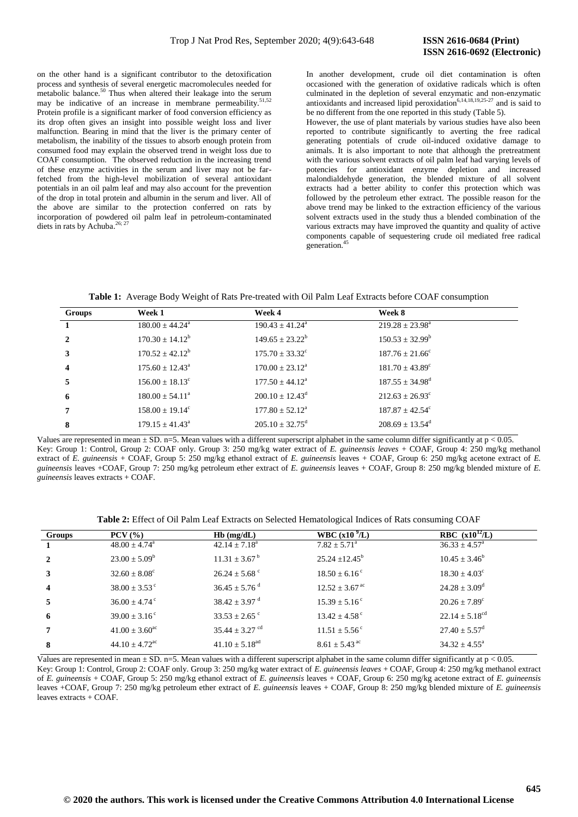on the other hand is a significant contributor to the detoxification process and synthesis of several energetic macromolecules needed for metabolic balance.<sup>50</sup> Thus when altered their leakage into the serum may be indicative of an increase in membrane permeability.<sup>51,52</sup> Protein profile is a significant marker of food conversion efficiency as its drop often gives an insight into possible weight loss and liver malfunction. Bearing in mind that the liver is the primary center of metabolism, the inability of the tissues to absorb enough protein from consumed food may explain the observed trend in weight loss due to COAF consumption. The observed reduction in the increasing trend of these enzyme activities in the serum and liver may not be farfetched from the high-level mobilization of several antioxidant potentials in an oil palm leaf and may also account for the prevention of the drop in total protein and albumin in the serum and liver. All of the above are similar to the protection conferred on rats by incorporation of powdered oil palm leaf in petroleum-contaminated diets in rats by Achuba.<sup>26; 27</sup>

In another development, crude oil diet contamination is often occasioned with the generation of oxidative radicals which is often culminated in the depletion of several enzymatic and non-enzymatic antioxidants and increased lipid peroxidation $6,14,18,19,25-27$  and is said to be no different from the one reported in this study (Table 5).

However, the use of plant materials by various studies have also been reported to contribute significantly to averting the free radical generating potentials of crude oil-induced oxidative damage to animals. It is also important to note that although the pretreatment with the various solvent extracts of oil palm leaf had varying levels of potencies for antioxidant enzyme depletion and increased malondialdehyde generation, the blended mixture of all solvent extracts had a better ability to confer this protection which was followed by the petroleum ether extract. The possible reason for the above trend may be linked to the extraction efficiency of the various solvent extracts used in the study thus a blended combination of the various extracts may have improved the quantity and quality of active components capable of sequestering crude oil mediated free radical generation. 45

**Table 1:** Average Body Weight of Rats Pre-treated with Oil Palm Leaf Extracts before COAF consumption

| <b>Groups</b>           | Week 1                          | Week 4                        | Week 8                          |
|-------------------------|---------------------------------|-------------------------------|---------------------------------|
|                         | $180.00 \pm 44.24^{\circ}$      | $190.43 \pm 41.24^{\circ}$    | $219.28 \pm 23.98^a$            |
| $\mathbf{2}$            | $170.30 \pm 14.12^b$            | $149.65 \pm 23.22^b$          | $150.53 \pm 32.99^b$            |
| 3                       | $170.52 \pm 42.12^b$            | $175.70 \pm 33.32^{\circ}$    | $187.76 \pm 21.66^{\circ}$      |
| $\overline{\mathbf{4}}$ | $175.60 \pm 12.43^{\circ}$      | $170.00 \pm 23.12^{\text{a}}$ | $181.70 \pm 43.89^{\circ}$      |
| 5                       | $156.00 \pm 18.13$ <sup>c</sup> | $177.50 \pm 44.12^{\text{a}}$ | $187.55 \pm 34.98$ <sup>d</sup> |
| 6                       | $180.00 \pm 54.11^{\circ}$      | $200.10 \pm 12.43^{\text{d}}$ | $212.63 \pm 26.93^{\circ}$      |
| $\overline{7}$          | $158.00 \pm 19.14^{\circ}$      | $177.80 \pm 52.12^{\text{a}}$ | $187.87 + 42.54^{\circ}$        |
| 8                       | $179.15 + 41.43^a$              | $205.10 + 32.75^{\text{d}}$   | $208.69 + 13.54^{\text{d}}$     |

Values are represented in mean  $\pm$  SD. n=5. Mean values with a different superscript alphabet in the same column differ significantly at p < 0.05. Key: Group 1: Control, Group 2: COAF only. Group 3: 250 mg/kg water extract of *E. guineensis leaves* + COAF, Group 4: 250 mg/kg methanol extract of *E. guineensis* + COAF, Group 5: 250 mg/kg ethanol extract of *E. guineensis* leaves + COAF, Group 6: 250 mg/kg acetone extract of *E. guineensis* leaves +COAF, Group 7: 250 mg/kg petroleum ether extract of *E. guineensis* leaves + COAF, Group 8: 250 mg/kg blended mixture of *E. guineensis* leaves extracts + COAF.

**Table 2:** Effect of Oil Palm Leaf Extracts on Selected Hematological Indices of Rats consuming COAF

| Groups                  | $PCV$ $(\%)$                  | $Hb$ (mg/dL)                   | WBC $(x109/L)$                 | <b>RBC</b> $(x10^{12}/L)$     |
|-------------------------|-------------------------------|--------------------------------|--------------------------------|-------------------------------|
|                         | $48.00 \pm 4.74$ <sup>a</sup> | $42.14 \pm 7.18^a$             | $7.82 \pm 5.71^{\circ}$        | $36.33 \pm 4.57^{\circ}$      |
|                         | $23.00 \pm 5.09^{\rm b}$      | $11.31 \pm 3.67^{\mathrm{b}}$  | $25.24 \pm 12.45^b$            | $10.45 \pm 3.46^b$            |
| 3                       | $32.60 \pm 8.08^{\circ}$      | $26.24 \pm 5.68$ °             | $18.50 \pm 6.16^{\circ}$       | $18.30 \pm 4.03^{\circ}$      |
| $\overline{\mathbf{4}}$ | $38.00 \pm 3.53$ <sup>c</sup> | $36.45 \pm 5.76$ <sup>d</sup>  | $12.52 \pm 3.67$ <sup>ac</sup> | $24.28 \pm 3.09^{\rm d}$      |
| 5                       | $36.00 \pm 4.74$ <sup>c</sup> | $38.42 \pm 3.97$ <sup>d</sup>  | $15.39 \pm 5.16^{\circ}$       | $20.26 \pm 7.89$ <sup>c</sup> |
| 6                       | $39.00 \pm 3.16^{\circ}$      | $33.53 \pm 2.65$ °             | $13.42 \pm 4.58$ <sup>c</sup>  | $22.14 \pm 5.18^{cd}$         |
|                         | $41.00 \pm 3.60^{\text{ac}}$  | $35.44 \pm 3.27$ <sup>cd</sup> | $11.51 \pm 5.56^{\circ}$       | $27.40 \pm 5.57^{\mathrm{d}}$ |
| 8                       | $44.10 + 4.72$ <sup>ac</sup>  | $41.10 \pm 5.18$ <sup>ad</sup> | $8.61 \pm 5.43$ <sup>ac</sup>  | $34.32 \pm 4.55^{\circ}$      |

Values are represented in mean  $\pm$  SD, n=5. Mean values with a different superscript alphabet in the same column differ significantly at p < 0.05. Key: Group 1: Control, Group 2: COAF only. Group 3: 250 mg/kg water extract of *E. guineensis leaves* + COAF, Group 4: 250 mg/kg methanol extract of *E. guineensis* + COAF, Group 5: 250 mg/kg ethanol extract of *E. guineensis* leaves + COAF, Group 6: 250 mg/kg acetone extract of *E. guineensis*  leaves +COAF, Group 7: 250 mg/kg petroleum ether extract of *E. guineensis* leaves + COAF, Group 8: 250 mg/kg blended mixture of *E. guineensis* leaves extracts + COAF.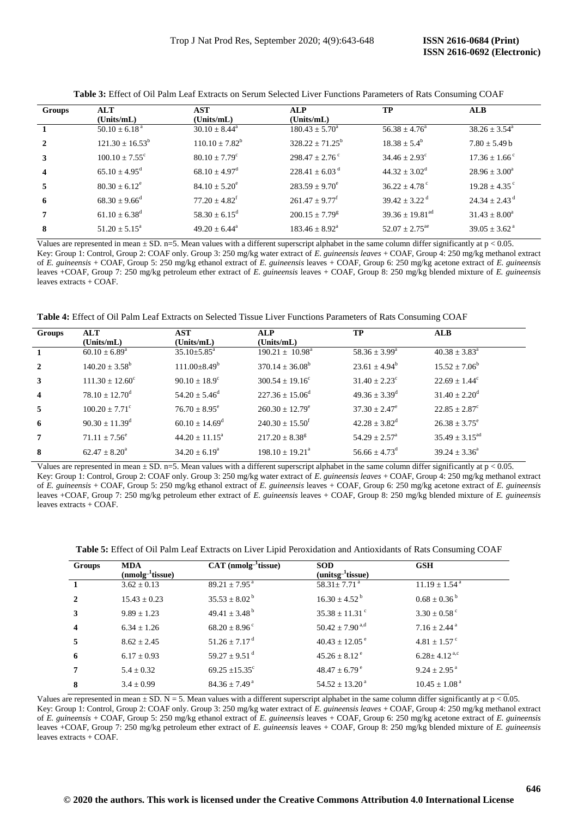| Groups                  | <b>ALT</b>                    | <b>AST</b>                    | ALP                         | TP                              | <b>ALB</b>                    |
|-------------------------|-------------------------------|-------------------------------|-----------------------------|---------------------------------|-------------------------------|
|                         | (Units/mL)                    | (Units/mL)                    | (Units/mL)                  |                                 |                               |
|                         | $50.10 \pm 6.18^{\text{a}}$   | $30.10 \pm 8.44^{\circ}$      | $180.43 \pm 5.70^{\circ}$   | $56.38 + 4.76^a$                | $38.26 \pm 3.54^{\circ}$      |
| $\mathbf{2}$            | $121.30 + 16.53^b$            | $110.10 + 7.82^b$             | $328.22 + 71.25^b$          | $18.38 + 5.4^b$                 | $7.80 + 5.49$ b               |
| 3                       | $100.10 + 7.55^{\circ}$       | $80.10 \pm 7.79$ <sup>c</sup> | $298.47 + 2.76^{\circ}$     | $34.46 \pm 2.93$ <sup>c</sup>   | $17.36 \pm 1.66$ <sup>c</sup> |
| $\overline{\mathbf{4}}$ | $65.10 \pm 4.95^{\rm d}$      | $68.10 \pm 4.97$ <sup>d</sup> | $228.41 + 6.03^{\text{ d}}$ | $44.32 \pm 3.02^{\rm d}$        | $28.96 \pm 3.00^a$            |
| 5                       | $80.30 + 6.12^e$              | $84.10 + 5.20^{\circ}$        | $283.59 \pm 9.70^{\circ}$   | $36.22 \pm 4.78$ <sup>c</sup>   | $19.28 + 4.35$ °              |
| -6                      | $68.30 + 9.66^d$              | $77.20 \pm 4.82^{\mathrm{f}}$ | $261.47 + 9.77^t$           | $39.42 + 3.22^{\mathrm{d}}$     | $24.34 + 2.43^{\mathrm{d}}$   |
| $\overline{7}$          | $61.10 \pm 6.38$ <sup>d</sup> | $58.30 \pm 6.15^{\rm d}$      | $200.15 \pm 7.79^8$         | $39.36 \pm 19.81$ <sup>ad</sup> | $31.43 \pm 8.00^a$            |
| 8                       | $51.20 + 5.15^a$              | $49.20 + 6.44^a$              | $183.46 \pm 8.92^{\circ}$   | $52.07 + 2.75^{\text{ae}}$      | $39.05 + 3.62$ <sup>a</sup>   |

**Table 3:** Effect of Oil Palm Leaf Extracts on Serum Selected Liver Functions Parameters of Rats Consuming COAF

Values are represented in mean  $\pm$  SD. n=5. Mean values with a different superscript alphabet in the same column differ significantly at p < 0.05. Key: Group 1: Control, Group 2: COAF only. Group 3: 250 mg/kg water extract of *E. guineensis leaves* + COAF, Group 4: 250 mg/kg methanol extract of *E. guineensis* + COAF, Group 5: 250 mg/kg ethanol extract of *E. guineensis* leaves + COAF, Group 6: 250 mg/kg acetone extract of *E. guineensis*  leaves +COAF, Group 7: 250 mg/kg petroleum ether extract of *E. guineensis* leaves + COAF, Group 8: 250 mg/kg blended mixture of *E. guineensis* leaves extracts + COAF.

**Table 4:** Effect of Oil Palm Leaf Extracts on Selected Tissue Liver Functions Parameters of Rats Consuming COAF

| Groups       | <b>ALT</b><br>(Units/mL)   | <b>AST</b><br>(Units/mL)       | <b>ALP</b><br>(Units/mL)        | TP                            | <b>ALB</b>                     |
|--------------|----------------------------|--------------------------------|---------------------------------|-------------------------------|--------------------------------|
|              | $60.10 \pm 6.89^{\circ}$   | $35.10 \pm 5.85$ <sup>a</sup>  | $190.21 \pm 10.98^{\text{a}}$   | $58.36 \pm 3.99^{\circ}$      | $40.38 \pm 3.83^{\circ}$       |
| $\mathbf{2}$ | $140.20 \pm 3.58^{\rm b}$  | $111.00 \pm 8.49$ <sup>b</sup> | $370.14 \pm 36.08^{\rm b}$      | $23.61 \pm 4.94^b$            | $15.52 \pm 7.06^b$             |
| 3            | $111.30 \pm 12.60^{\circ}$ | $90.10 \pm 18.9^{\circ}$       | $300.54 \pm 19.16^{\circ}$      | $31.40 \pm 2.23$ <sup>c</sup> | $22.69 + 1.44^{\circ}$         |
| 4            | $78.10 \pm 12.70^{\circ}$  | $54.20 \pm 5.46^{\rm d}$       | $227.36 \pm 15.06^{\mathrm{d}}$ | $49.36 \pm 3.39$ <sup>d</sup> | $31.40 \pm 2.20^{\circ}$       |
| 5            | $100.20 \pm 7.71^{\circ}$  | $76.70 \pm 8.95^{\circ}$       | $260.30 \pm 12.79^e$            | $37.30 \pm 2.47^e$            | $22.85 \pm 2.87^{\circ}$       |
| 6            | $90.30 \pm 11.39^{\rm d}$  | $60.10 \pm 14.69^{\rm d}$      | $240.30 \pm 15.50^{\mathrm{f}}$ | $42.28 \pm 3.82^{\text{d}}$   | $26.38 \pm 3.75^{\circ}$       |
| 7            | $71.11 + 7.56^e$           | $44.20 + 11.15^a$              | $217.20 \pm 8.38^g$             | $54.29 \pm 2.57^{\circ}$      | $35.49 \pm 3.15$ <sup>ad</sup> |
| 8            | $62.47 \pm 8.20^{\circ}$   | $34.20 \pm 6.19^{\circ}$       | $198.10 + 19.21^a$              | $56.66 + 4.73^{\circ}$        | $39.24 \pm 3.36^a$             |

Values are represented in mean  $\pm$  SD. n=5. Mean values with a different superscript alphabet in the same column differ significantly at  $p < 0.05$ . Key: Group 1: Control, Group 2: COAF only. Group 3: 250 mg/kg water extract of *E. guineensis leaves* + COAF, Group 4: 250 mg/kg methanol extract of *E. guineensis* + COAF, Group 5: 250 mg/kg ethanol extract of *E. guineensis* leaves + COAF, Group 6: 250 mg/kg acetone extract of *E. guineensis*  leaves +COAF, Group 7: 250 mg/kg petroleum ether extract of *E. guineensis* leaves + COAF, Group 8: 250 mg/kg blended mixture of *E. guineensis* leaves extracts + COAF.

| <b>Table 5:</b> Effect of Oil Palm Leaf Extracts on Liver Lipid Peroxidation and Antioxidants of Rats Consuming COAF |
|----------------------------------------------------------------------------------------------------------------------|
|----------------------------------------------------------------------------------------------------------------------|

| Groups                  | <b>MDA</b><br>$(nmolg-1tissue)$ | $CAT$ (nmolg- $1$ tissue)     | <b>SOD</b><br>$(unitsg-1tissue)$           | <b>GSH</b>                     |
|-------------------------|---------------------------------|-------------------------------|--------------------------------------------|--------------------------------|
|                         | $3.62 \pm 0.13$                 | $89.21 \pm 7.95^{\circ}$      | $\overline{58.31}$ $\pm 7.71$ <sup>a</sup> | $11.19 \pm 1.54$ <sup>a</sup>  |
| 2                       | $15.43 \pm 0.23$                | $35.53 \pm 8.02^{\mathrm{b}}$ | $16.30 \pm 4.52^{\mathrm{b}}$              | $0.68 \pm 0.36^{\mathrm{b}}$   |
| 3                       | $9.89 \pm 1.23$                 | 49.41 $\pm$ 3.48 <sup>b</sup> | $35.38 \pm 11.31$ <sup>c</sup>             | $3.30 \pm 0.58$ <sup>c</sup>   |
| $\overline{\mathbf{4}}$ | $6.34 \pm 1.26$                 | $68.20 \pm 8.96^{\circ}$      | $50.42 \pm 7.90$ <sup>a,d</sup>            | $7.16 \pm 2.44$ <sup>a</sup>   |
| 5                       | $8.62 + 2.45$                   | $51.26 \pm 7.17$ <sup>d</sup> | $40.43 \pm 12.05$ <sup>e</sup>             | $4.81 \pm 1.57$ <sup>c</sup>   |
| 6                       | $6.17 \pm 0.93$                 | 59.27 $\pm$ 9.51 <sup>d</sup> | $45.26 \pm 8.12^{\circ}$                   | $6.28 \pm 4.12$ <sup>a,c</sup> |
| 7                       | $5.4 \pm 0.32$                  | $69.25 \pm 15.35$ °           | $48.47 \pm 6.79^{\circ}$                   | $9.24 \pm 2.95$ <sup>a</sup>   |
| 8                       | $3.4 \pm 0.99$                  | $84.36 \pm 7.49^{\text{a}}$   | $54.52 \pm 13.20^{\text{ a}}$              | $10.45 \pm 1.08^{\text{a}}$    |

Values are represented in mean  $\pm$  SD. N = 5. Mean values with a different superscript alphabet in the same column differ significantly at  $p < 0.05$ . Key: Group 1: Control, Group 2: COAF only. Group 3: 250 mg/kg water extract of *E. guineensis leaves* + COAF, Group 4: 250 mg/kg methanol extract of *E. guineensis* + COAF, Group 5: 250 mg/kg ethanol extract of *E. guineensis* leaves + COAF, Group 6: 250 mg/kg acetone extract of *E. guineensis*  leaves +COAF, Group 7: 250 mg/kg petroleum ether extract of *E. guineensis* leaves + COAF, Group 8: 250 mg/kg blended mixture of *E. guineensis* leaves extracts + COAF.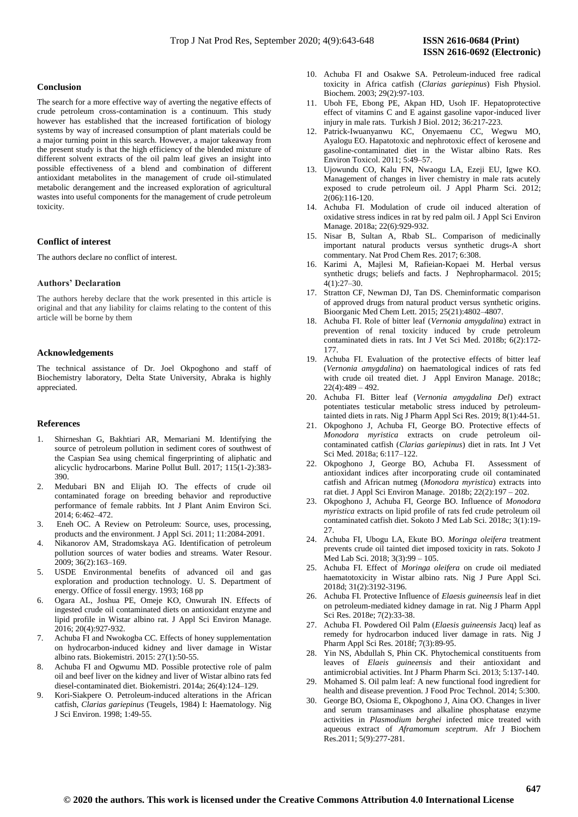#### **Conclusion**

The search for a more effective way of averting the negative effects of crude petroleum cross-contamination is a continuum. This study however has established that the increased fortification of biology systems by way of increased consumption of plant materials could be a major turning point in this search. However, a major takeaway from the present study is that the high efficiency of the blended mixture of different solvent extracts of the oil palm leaf gives an insight into possible effectiveness of a blend and combination of different antioxidant metabolites in the management of crude oil-stimulated metabolic derangement and the increased exploration of agricultural wastes into useful components for the management of crude petroleum toxicity.

## **Conflict of interest**

The authors declare no conflict of interest.

# **Authors' Declaration**

The authors hereby declare that the work presented in this article is original and that any liability for claims relating to the content of this article will be borne by them

#### **Acknowledgements**

The technical assistance of Dr. Joel Okpoghono and staff of Biochemistry laboratory, Delta State University, Abraka is highly appreciated.

### **References**

- 1. [Shirneshan G,](https://www.ncbi.nlm.nih.gov/pubmed/?term=Shirneshan%20G%5BAuthor%5D&cauthor=true&cauthor_uid=28010882) [Bakhtiari AR,](https://www.ncbi.nlm.nih.gov/pubmed/?term=Bakhtiari%20AR%5BAuthor%5D&cauthor=true&cauthor_uid=28010882) [Memariani M.](https://www.ncbi.nlm.nih.gov/pubmed/?term=Memariani%20M%5BAuthor%5D&cauthor=true&cauthor_uid=28010882) Identifying the source of petroleum pollution in sediment cores of southwest of the Caspian Sea using chemical fingerprinting of aliphatic and alicyclic hydrocarbons. Marine Pollut Bull. 2017; 115(1-2):383- 390.
- 2. Medubari BN and Elijah IO. The effects of crude oil contaminated forage on breeding behavior and reproductive performance of female rabbits. Int J Plant Anim Environ Sci. 2014; 6:462–472.
- 3. Eneh OC. A Review on Petroleum: Source, uses, processing, products and the environment. J Appl Sci. 2011; 11:2084-2091.
- Nikanorov AM, Stradomskaya AG. Identification of petroleum pollution sources of water bodies and streams. Water Resour. 2009; 36(2):163–169.
- 5. USDE Environmental benefits of advanced oil and gas exploration and production technology. U. S. Department of energy. Office of fossil energy. 1993; 168 pp
- 6. Ogara AL, Joshua PE, Omeje KO, Onwurah IN. Effects of ingested crude oil contaminated diets on antioxidant enzyme and lipid profile in Wistar albino rat. J Appl Sci Environ Manage. 2016; 20(4):927-932.
- 7. Achuba FI and Nwokogba CC. Effects of honey supplementation on hydrocarbon-induced kidney and liver damage in Wistar albino rats. Biokemistri. 2015: 27(1):50-55.
- 8. Achuba FI and Ogwumu MD. Possible protective role of palm oil and beef liver on the kidney and liver of Wistar albino rats fed diesel-contaminated diet. Biokemistri. 2014a; 26(4):124–129.
- 9. Kori-Siakpere O. Petroleum-induced alterations in the African catfish, *Clarias gariepinus* (Teugels, 1984) I: Haematology. Nig J Sci Environ. 1998; 1:49-55.
- 10. Achuba FI and Osakwe SA. Petroleum-induced free radical toxicity in Africa catfish (*Clarias gariepinus*) Fish Physiol. Biochem. 2003; 29(2):97-103.
- 11. Uboh FE, Ebong PE, Akpan HD, Usoh IF. Hepatoprotective effect of vitamins C and E against gasoline vapor-induced liver injury in male rats. Turkish J Biol. 2012; 36:217-223.
- 12. Patrick-Iwuanyanwu KC, Onyemaenu CC, Wegwu MO, Ayalogu EO. Hapatotoxic and nephrotoxic effect of kerosene and gasoline-contaminated diet in the Wistar albino Rats. Res Environ Toxicol. 2011; 5:49–57.
- 13. Ujowundu CO, Kalu FN, Nwaogu LA, Ezeji EU, Igwe KO. Management of changes in liver chemistry in male rats acutely exposed to crude petroleum oil. J Appl Pharm Sci. 2012; 2(06):116-120.
- 14. Achuba FI. Modulation of crude oil induced alteration of oxidative stress indices in rat by red palm oil. J Appl Sci Environ Manage. 2018a; 22(6):929-932.
- 15. Nisar B, Sultan A, Rbab SL. Comparison of medicinally important natural products versus synthetic drugs-A short commentary. Nat Prod Chem Res. 2017; 6:308.
- 16. [Karimi](https://www.ncbi.nlm.nih.gov/pubmed/?term=Karimi%20A%5BAuthor%5D&cauthor=true&cauthor_uid=28197471) A, [Majlesi](https://www.ncbi.nlm.nih.gov/pubmed/?term=Majlesi%20M%5BAuthor%5D&cauthor=true&cauthor_uid=28197471) M, [Rafieian-Kopaei](https://www.ncbi.nlm.nih.gov/pubmed/?term=Rafieian-Kopaei%20M%5BAuthor%5D&cauthor=true&cauthor_uid=28197471) M. Herbal versus synthetic drugs; beliefs and facts. [J Nephropharmacol.](https://www.ncbi.nlm.nih.gov/pmc/articles/PMC5297475/) 2015; 4(1):27–30.
- 17. [Stratton](https://www.ncbi.nlm.nih.gov/pubmed/?term=Stratton%20CF%5BAuthor%5D&cauthor=true&cauthor_uid=26254944) CF, [Newman](https://www.ncbi.nlm.nih.gov/pubmed/?term=Newman%20DJ%5BAuthor%5D&cauthor=true&cauthor_uid=26254944) DJ, [Tan](https://www.ncbi.nlm.nih.gov/pubmed/?term=Tan%20DS%5BAuthor%5D&cauthor=true&cauthor_uid=26254944) DS. Cheminformatic comparison of approved drugs from natural product versus synthetic origins. Bioorganic Med Chem Lett. 2015; 25(21):4802–4807.
- 18. Achuba FI. Role of bitter leaf (*Vernonia amygdalina*) extract in prevention of renal toxicity induced by crude petroleum contaminated diets in rats. Int J Vet Sci Med. 2018b; 6(2):172- 177.
- 19. Achuba FI. Evaluation of the protective effects of bitter leaf (*Vernonia amygdalina*) on haematological indices of rats fed with crude oil treated diet. J Appl Environ Manage. 2018c;  $22(4):489-492.$
- 20. Achuba FI. Bitter leaf (*Vernonia amygdalina Del*) extract potentiates testicular metabolic stress induced by petroleumtainted diets in rats. Nig J Pharm Appl Sci Res. 2019; 8(1):44-51.
- 21. Okpoghono J, Achuba FI, George BO. Protective effects of *Monodora myristica* extracts on crude petroleum oilcontaminated catfish (*Clarias gariepinus*) diet in rats. Int J Vet Sci Med. 2018a; 6:117–122.
- 22. Okpoghono J, George BO, Achuba FI. Assessment of antioxidant indices after incorporating crude oil contaminated catfish and African nutmeg (*Monodora myristica*) extracts into rat diet. J Appl Sci Environ Manage. 2018b; 22(2):197 – 202.
- 23. Okpoghono J, Achuba FI, George BO. Influence of *Monodora myristica* extracts on lipid profile of rats fed crude petroleum oil contaminated catfish diet. Sokoto J Med Lab Sci. 2018c; 3(1):19-  $27$
- 24. Achuba FI, Ubogu LA, Ekute BO. *Moringa oleifera* treatment prevents crude oil tainted diet imposed toxicity in rats. Sokoto J Med Lab Sci. 2018; 3(3):99 – 105.
- 25. Achuba FI. Effect of *Moringa oleifera* on crude oil mediated haematotoxicity in Wistar albino rats. Nig J Pure Appl Sci. 2018d; 31(2):3192-3196.
- 26. Achuba FI. Protective Influence of *Elaesis guineensis* leaf in diet on petroleum-mediated kidney damage in rat. Nig J Pharm Appl Sci Res. 2018e; 7(2):33-38.
- 27. Achuba FI. Powdered Oil Palm (*Elaesis guineensis* Jacq) leaf as remedy for hydrocarbon induced liver damage in rats. Nig J Pharm Appl Sci Res. 2018f; 7(3):89-95.
- 28. Yin NS, Abdullah S, Phin CK. Phytochemical constituents from leaves of *Elaeis guineensis* and their antioxidant and antimicrobial activities. Int J Pharm Pharm Sci. 2013; 5:137-140.
- 29. Mohamed S. Oil palm leaf: A new functional food ingredient for health and disease prevention. J Food Proc Technol. 2014; 5:300.
- 30. George BO, Osioma E, Okpoghono J, Aina OO. Changes in liver and serum transaminases and alkaline phosphatase enzyme activities in *Plasmodium berghei* infected mice treated with aqueous extract of *Aframomum sceptrum*. Afr J Biochem Res.2011; 5(9):277-281.